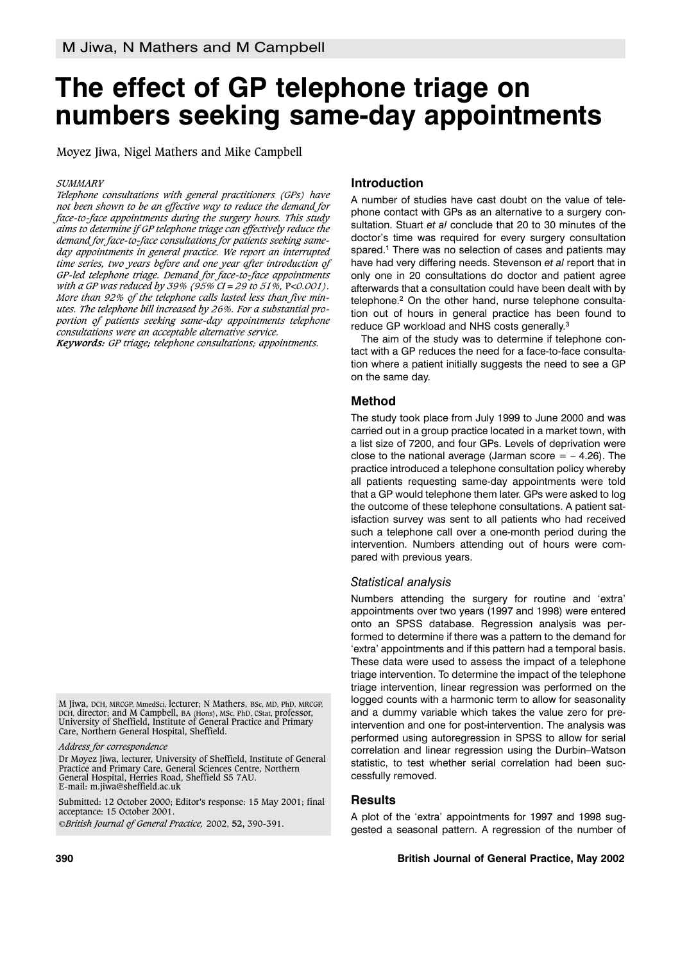# **The effect of GP telephone triage on numbers seeking same-day appointments**

Moyez Jiwa, Nigel Mathers and Mike Campbell

#### *SUMMARY*

*Telephone consultations with general practitioners (GPs) have not been shown to be an effective way to reduce the demand for face-to-face appointments during the surgery hours. This study aims to determine if GP telephone triage can effectively reduce the demand for face-to-face consultations for patients seeking sameday appointments in general practice. We report an interrupted time series, two years before and one year after introduction of GP-led telephone triage. Demand for face-to-face appointments with a GP was reduced by 39% (95% CI = 29 to 51%,* P*<0.001). More than 92% of the telephone calls lasted less than five minutes. The telephone bill increased by 26%. For a substantial proportion of patients seeking same-day appointments telephone consultations were an acceptable alternative service.*

*Keywords: GP triage; telephone consultations; appointments.*

M Jiwa, DCH, MRCGP, MmedSci, lecturer; N Mathers, BSc, MD, PhD, MRCGP, DCH, director; and M Campbell, BA (Hons), MSc, PhD, CStat, professor, University of Sheffield, Institute of General Practice and Primary Care, Northern General Hospital, Sheffield.

Dr Moyez Jiwa, lecturer, University of Sheffield, Institute of General Practice and Primary Care, General Sciences Centre, Northern General Hospital, Herries Road, Sheffield S5 7AU. E-mail: m.jiwa@sheffield.ac.uk

Submitted: 12 October 2000; Editor's response: 15 May 2001; final acceptance: 15 October 2001.

*British Journal of General Practice,* 2002, **52,** 390-391.

## **Introduction**

A number of studies have cast doubt on the value of telephone contact with GPs as an alternative to a surgery consultation. Stuart *et al* conclude that 20 to 30 minutes of the doctor's time was required for every surgery consultation spared.<sup>1</sup> There was no selection of cases and patients may have had very differing needs. Stevenson *et al* report that in only one in 20 consultations do doctor and patient agree afterwards that a consultation could have been dealt with by telephone.<sup>2</sup> On the other hand, nurse telephone consultation out of hours in general practice has been found to reduce GP workload and NHS costs generally.<sup>3</sup>

The aim of the study was to determine if telephone contact with a GP reduces the need for a face-to-face consultation where a patient initially suggests the need to see a GP on the same day.

## **Method**

The study took place from July 1999 to June 2000 and was carried out in a group practice located in a market town, with a list size of 7200, and four GPs. Levels of deprivation were close to the national average (Jarman score  $=$   $-$  4.26). The practice introduced a telephone consultation policy whereby all patients requesting same-day appointments were told that a GP would telephone them later. GPs were asked to log the outcome of these telephone consultations. A patient satisfaction survey was sent to all patients who had received such a telephone call over a one-month period during the intervention. Numbers attending out of hours were compared with previous years.

## *Statistical analysis*

Numbers attending the surgery for routine and 'extra' appointments over two years (1997 and 1998) were entered onto an SPSS database. Regression analysis was performed to determine if there was a pattern to the demand for 'extra' appointments and if this pattern had a temporal basis. These data were used to assess the impact of a telephone triage intervention. To determine the impact of the telephone triage intervention, linear regression was performed on the logged counts with a harmonic term to allow for seasonality and a dummy variable which takes the value zero for preintervention and one for post-intervention. The analysis was performed using autoregression in SPSS to allow for serial correlation and linear regression using the Durbin–Watson statistic, to test whether serial correlation had been successfully removed.

## **Results**

A plot of the 'extra' appointments for 1997 and 1998 suggested a seasonal pattern. A regression of the number of

*Address for correspondence*